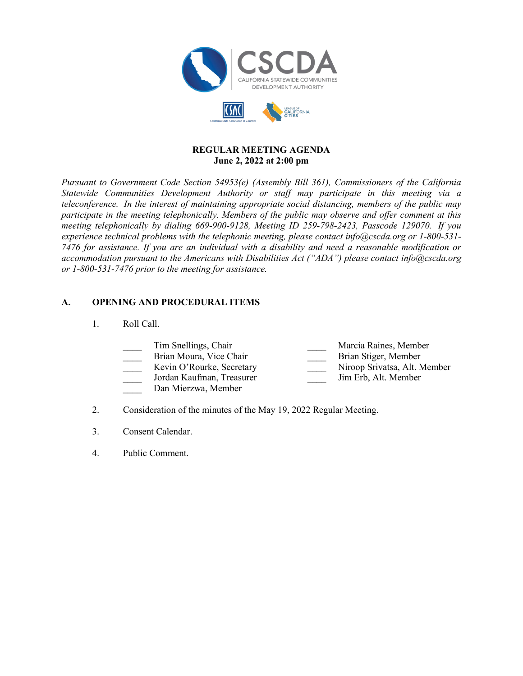

### **REGULAR MEETING AGENDA June 2, 2022 at 2:00 pm**

*Pursuant to Government Code Section 54953(e) (Assembly Bill 361), Commissioners of the California Statewide Communities Development Authority or staff may participate in this meeting via a teleconference. In the interest of maintaining appropriate social distancing, members of the public may participate in the meeting telephonically. Members of the public may observe and offer comment at this meeting telephonically by dialing 669-900-9128, Meeting ID 259-798-2423, Passcode 129070. If you experience technical problems with the telephonic meeting, please contact info@cscda.org or 1-800-531- 7476 for assistance. If you are an individual with a disability and need a reasonable modification or accommodation pursuant to the Americans with Disabilities Act ("ADA") please contact info@cscda.org or 1-800-531-7476 prior to the meeting for assistance.*

### **A. OPENING AND PROCEDURAL ITEMS**

1. Roll Call.

| Tim Snellings, Chair | Marcia Raines, Member |
|----------------------|-----------------------|
|                      |                       |

- Brian Moura, Vice Chair **Brian Stiger**, Member
- 
- \_\_\_\_ Jordan Kaufman, Treasurer \_\_\_\_ Jim Erb, Alt. Member
- Dan Mierzwa, Member
- Kevin O'Rourke, Secretary Niroop Srivatsa, Alt. Member
	-
- 2. Consideration of the minutes of the May 19, 2022 Regular Meeting.
- 3. Consent Calendar.
- 4. Public Comment.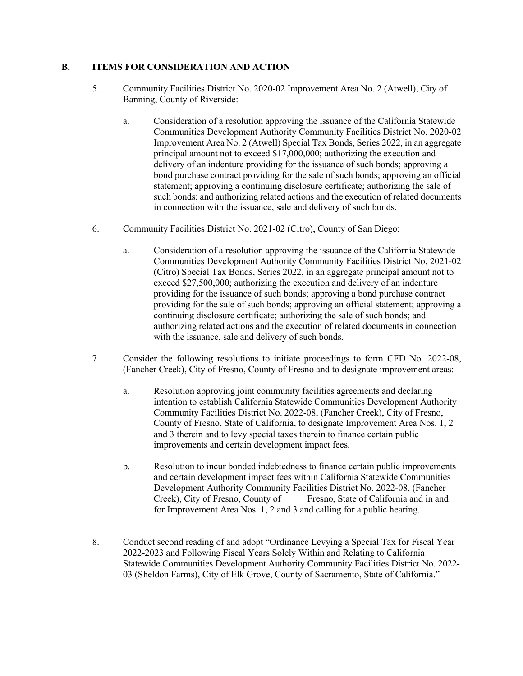### **B. ITEMS FOR CONSIDERATION AND ACTION**

- 5. Community Facilities District No. 2020-02 Improvement Area No. 2 (Atwell), City of Banning, County of Riverside:
	- a. Consideration of a resolution approving the issuance of the California Statewide Communities Development Authority Community Facilities District No. 2020-02 Improvement Area No. 2 (Atwell) Special Tax Bonds, Series 2022, in an aggregate principal amount not to exceed \$17,000,000; authorizing the execution and delivery of an indenture providing for the issuance of such bonds; approving a bond purchase contract providing for the sale of such bonds; approving an official statement; approving a continuing disclosure certificate; authorizing the sale of such bonds; and authorizing related actions and the execution of related documents in connection with the issuance, sale and delivery of such bonds.
- 6. Community Facilities District No. 2021-02 (Citro), County of San Diego:
	- a. Consideration of a resolution approving the issuance of the California Statewide Communities Development Authority Community Facilities District No. 2021-02 (Citro) Special Tax Bonds, Series 2022, in an aggregate principal amount not to exceed \$27,500,000; authorizing the execution and delivery of an indenture providing for the issuance of such bonds; approving a bond purchase contract providing for the sale of such bonds; approving an official statement; approving a continuing disclosure certificate; authorizing the sale of such bonds; and authorizing related actions and the execution of related documents in connection with the issuance, sale and delivery of such bonds.
- 7. Consider the following resolutions to initiate proceedings to form CFD No. 2022-08, (Fancher Creek), City of Fresno, County of Fresno and to designate improvement areas:
	- a. Resolution approving joint community facilities agreements and declaring intention to establish California Statewide Communities Development Authority Community Facilities District No. 2022-08, (Fancher Creek), City of Fresno, County of Fresno, State of California, to designate Improvement Area Nos. 1, 2 and 3 therein and to levy special taxes therein to finance certain public improvements and certain development impact fees.
	- b. Resolution to incur bonded indebtedness to finance certain public improvements and certain development impact fees within California Statewide Communities Development Authority Community Facilities District No. 2022-08, (Fancher Creek), City of Fresno, County of Fresno, State of California and in and for Improvement Area Nos. 1, 2 and 3 and calling for a public hearing.
- 8. Conduct second reading of and adopt "Ordinance Levying a Special Tax for Fiscal Year 2022-2023 and Following Fiscal Years Solely Within and Relating to California Statewide Communities Development Authority Community Facilities District No. 2022- 03 (Sheldon Farms), City of Elk Grove, County of Sacramento, State of California."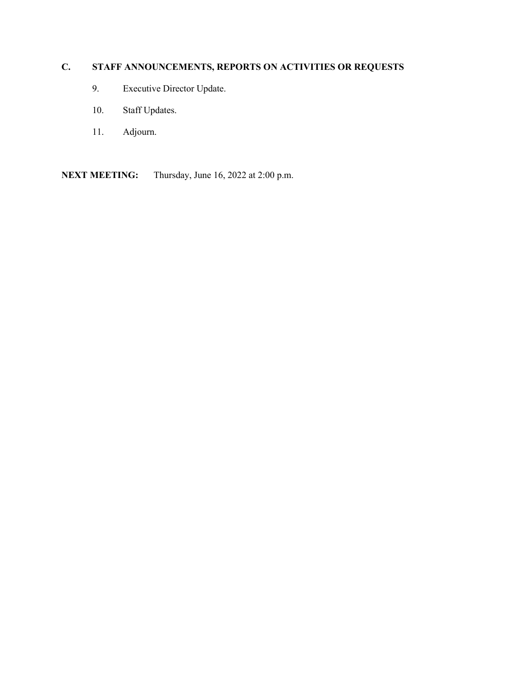# **C. STAFF ANNOUNCEMENTS, REPORTS ON ACTIVITIES OR REQUESTS**

- 9. Executive Director Update.
- 10. Staff Updates.
- 11. Adjourn.

**NEXT MEETING:** Thursday, June 16, 2022 at 2:00 p.m.